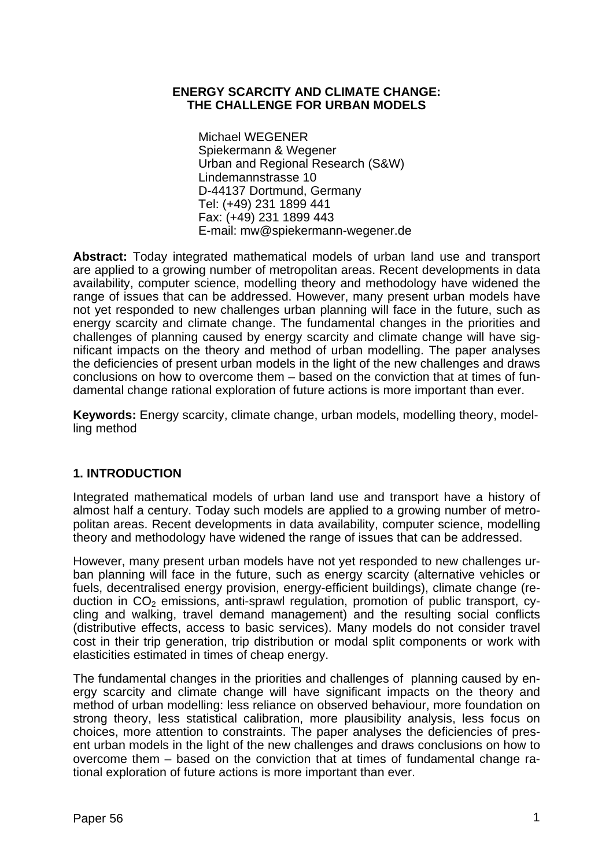## **ENERGY SCARCITY AND CLIMATE CHANGE: THE CHALLENGE FOR URBAN MODELS**

Michael WEGENER Spiekermann & Wegener Urban and Regional Research (S&W) Lindemannstrasse 10 D-44137 Dortmund, Germany Tel: (+49) 231 1899 441 Fax: (+49) 231 1899 443 E-mail: mw@spiekermann-wegener.de

**Abstract:** Today integrated mathematical models of urban land use and transport are applied to a growing number of metropolitan areas. Recent developments in data availability, computer science, modelling theory and methodology have widened the range of issues that can be addressed. However, many present urban models have not yet responded to new challenges urban planning will face in the future, such as energy scarcity and climate change. The fundamental changes in the priorities and challenges of planning caused by energy scarcity and climate change will have significant impacts on the theory and method of urban modelling. The paper analyses the deficiencies of present urban models in the light of the new challenges and draws conclusions on how to overcome them – based on the conviction that at times of fundamental change rational exploration of future actions is more important than ever.

**Keywords:** Energy scarcity, climate change, urban models, modelling theory, modelling method

# **1. INTRODUCTION**

Integrated mathematical models of urban land use and transport have a history of almost half a century. Today such models are applied to a growing number of metropolitan areas. Recent developments in data availability, computer science, modelling theory and methodology have widened the range of issues that can be addressed.

However, many present urban models have not yet responded to new challenges urban planning will face in the future, such as energy scarcity (alternative vehicles or fuels, decentralised energy provision, energy-efficient buildings), climate change (reduction in  $CO<sub>2</sub>$  emissions, anti-sprawl regulation, promotion of public transport, cycling and walking, travel demand management) and the resulting social conflicts (distributive effects, access to basic services). Many models do not consider travel cost in their trip generation, trip distribution or modal split components or work with elasticities estimated in times of cheap energy.

The fundamental changes in the priorities and challenges of planning caused by energy scarcity and climate change will have significant impacts on the theory and method of urban modelling: less reliance on observed behaviour, more foundation on strong theory, less statistical calibration, more plausibility analysis, less focus on choices, more attention to constraints. The paper analyses the deficiencies of present urban models in the light of the new challenges and draws conclusions on how to overcome them – based on the conviction that at times of fundamental change rational exploration of future actions is more important than ever.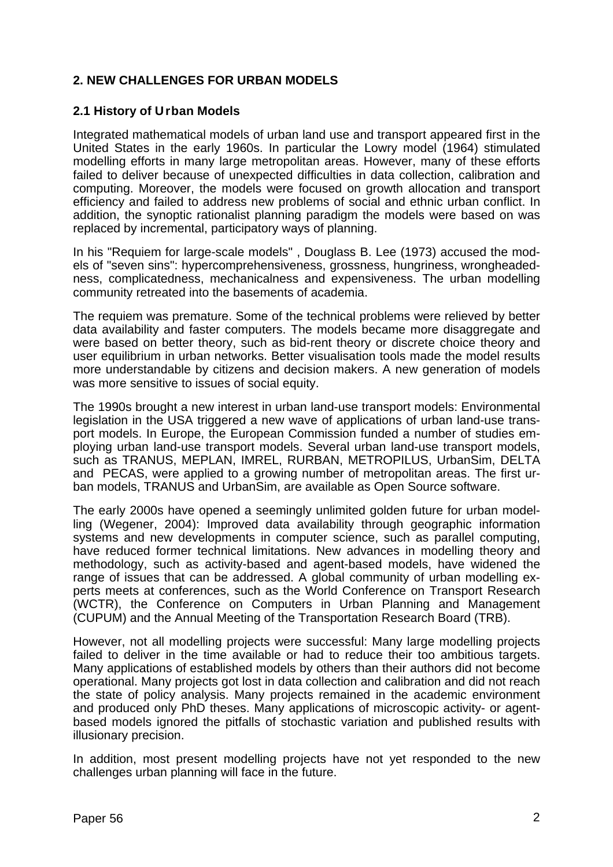# **2. NEW CHALLENGES FOR URBAN MODELS**

# **2.1 History of Urban Models**

Integrated mathematical models of urban land use and transport appeared first in the United States in the early 1960s. In particular the Lowry model (1964) stimulated modelling efforts in many large metropolitan areas. However, many of these efforts failed to deliver because of unexpected difficulties in data collection, calibration and computing. Moreover, the models were focused on growth allocation and transport efficiency and failed to address new problems of social and ethnic urban conflict. In addition, the synoptic rationalist planning paradigm the models were based on was replaced by incremental, participatory ways of planning.

In his "Requiem for large-scale models" , Douglass B. Lee (1973) accused the models of "seven sins": hypercomprehensiveness, grossness, hungriness, wrongheadedness, complicatedness, mechanicalness and expensiveness. The urban modelling community retreated into the basements of academia.

The requiem was premature. Some of the technical problems were relieved by better data availability and faster computers. The models became more disaggregate and were based on better theory, such as bid-rent theory or discrete choice theory and user equilibrium in urban networks. Better visualisation tools made the model results more understandable by citizens and decision makers. A new generation of models was more sensitive to issues of social equity.

The 1990s brought a new interest in urban land-use transport models: Environmental legislation in the USA triggered a new wave of applications of urban land-use transport models. In Europe, the European Commission funded a number of studies employing urban land-use transport models. Several urban land-use transport models, such as TRANUS, MEPLAN, IMREL, RURBAN, METROPILUS, UrbanSim, DELTA and PECAS, were applied to a growing number of metropolitan areas. The first urban models, TRANUS and UrbanSim, are available as Open Source software.

The early 2000s have opened a seemingly unlimited golden future for urban modelling (Wegener, 2004): Improved data availability through geographic information systems and new developments in computer science, such as parallel computing, have reduced former technical limitations. New advances in modelling theory and methodology, such as activity-based and agent-based models, have widened the range of issues that can be addressed. A global community of urban modelling experts meets at conferences, such as the World Conference on Transport Research (WCTR), the Conference on Computers in Urban Planning and Management (CUPUM) and the Annual Meeting of the Transportation Research Board (TRB).

However, not all modelling projects were successful: Many large modelling projects failed to deliver in the time available or had to reduce their too ambitious targets. Many applications of established models by others than their authors did not become operational. Many projects got lost in data collection and calibration and did not reach the state of policy analysis. Many projects remained in the academic environment and produced only PhD theses. Many applications of microscopic activity- or agentbased models ignored the pitfalls of stochastic variation and published results with illusionary precision.

In addition, most present modelling projects have not yet responded to the new challenges urban planning will face in the future.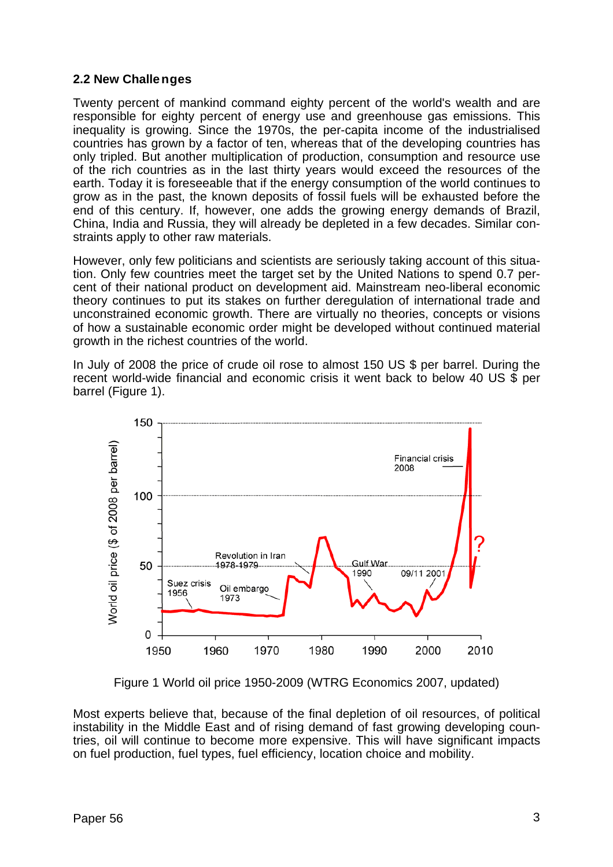# **2.2 New Challenges**

Twenty percent of mankind command eighty percent of the world's wealth and are responsible for eighty percent of energy use and greenhouse gas emissions. This inequality is growing. Since the 1970s, the per-capita income of the industrialised countries has grown by a factor of ten, whereas that of the developing countries has only tripled. But another multiplication of production, consumption and resource use of the rich countries as in the last thirty years would exceed the resources of the earth. Today it is foreseeable that if the energy consumption of the world continues to grow as in the past, the known deposits of fossil fuels will be exhausted before the end of this century. If, however, one adds the growing energy demands of Brazil, China, India and Russia, they will already be depleted in a few decades. Similar constraints apply to other raw materials.

However, only few politicians and scientists are seriously taking account of this situation. Only few countries meet the target set by the United Nations to spend 0.7 percent of their national product on development aid. Mainstream neo-liberal economic theory continues to put its stakes on further deregulation of international trade and unconstrained economic growth. There are virtually no theories, concepts or visions of how a sustainable economic order might be developed without continued material growth in the richest countries of the world.

In July of 2008 the price of crude oil rose to almost 150 US \$ per barrel. During the recent world-wide financial and economic crisis it went back to below 40 US \$ per barrel (Figure 1).



Figure 1 World oil price 1950-2009 (WTRG Economics 2007, updated)

Most experts believe that, because of the final depletion of oil resources, of political instability in the Middle East and of rising demand of fast growing developing countries, oil will continue to become more expensive. This will have significant impacts on fuel production, fuel types, fuel efficiency, location choice and mobility.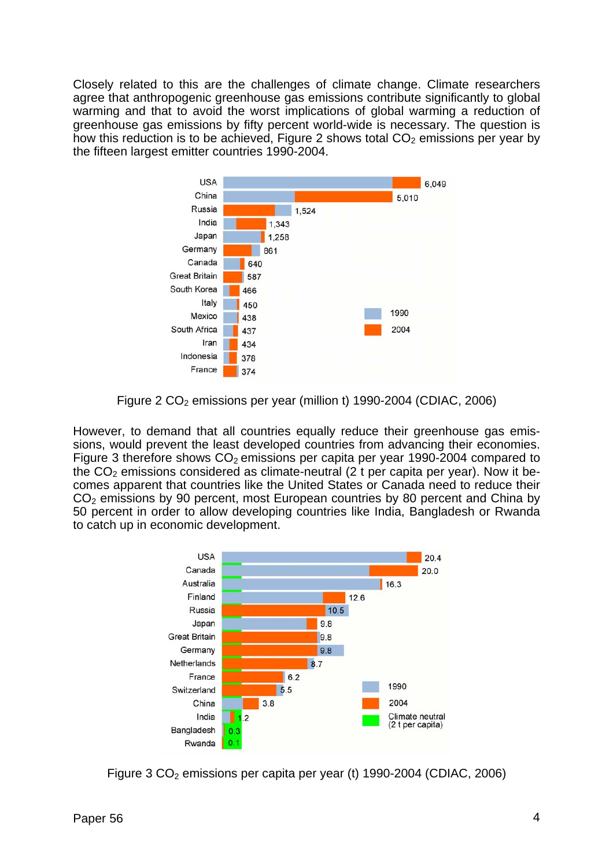Closely related to this are the challenges of climate change. Climate researchers agree that anthropogenic greenhouse gas emissions contribute significantly to global warming and that to avoid the worst implications of global warming a reduction of greenhouse gas emissions by fifty percent world-wide is necessary. The question is how this reduction is to be achieved, Figure 2 shows total  $CO<sub>2</sub>$  emissions per year by the fifteen largest emitter countries 1990-2004.



Figure 2  $CO<sub>2</sub>$  emissions per year (million t) 1990-2004 (CDIAC, 2006)

However, to demand that all countries equally reduce their greenhouse gas emissions, would prevent the least developed countries from advancing their economies. Figure 3 therefore shows  $CO<sub>2</sub>$  emissions per capita per year 1990-2004 compared to the  $CO<sub>2</sub>$  emissions considered as climate-neutral (2 t per capita per year). Now it becomes apparent that countries like the United States or Canada need to reduce their CO<sub>2</sub> emissions by 90 percent, most European countries by 80 percent and China by 50 percent in order to allow developing countries like India, Bangladesh or Rwanda to catch up in economic development.



Figure 3  $CO<sub>2</sub>$  emissions per capita per year (t) 1990-2004 (CDIAC, 2006)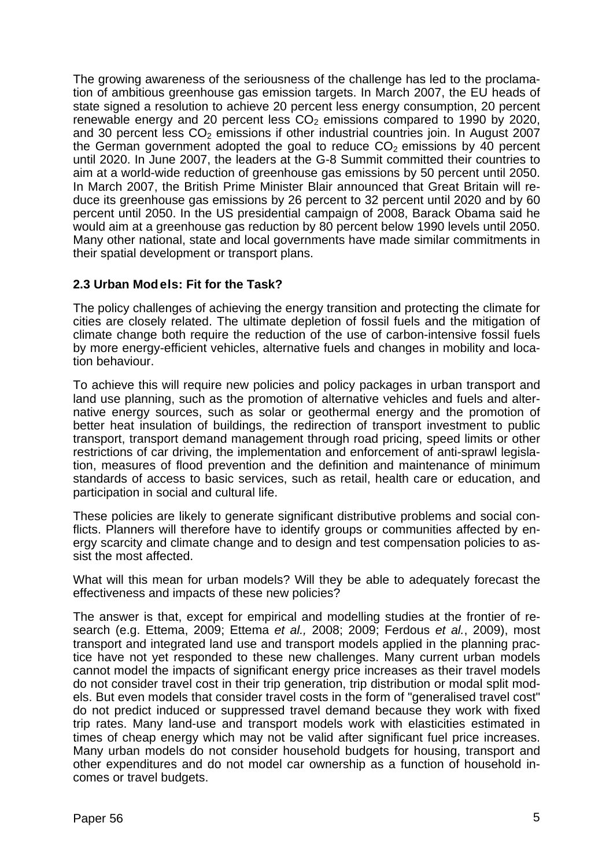The growing awareness of the seriousness of the challenge has led to the proclamation of ambitious greenhouse gas emission targets. In March 2007, the EU heads of state signed a resolution to achieve 20 percent less energy consumption, 20 percent renewable energy and 20 percent less  $CO<sub>2</sub>$  emissions compared to 1990 by 2020. and 30 percent less  $CO<sub>2</sub>$  emissions if other industrial countries join. In August 2007 the German government adopted the goal to reduce  $CO<sub>2</sub>$  emissions by 40 percent until 2020. In June 2007, the leaders at the G-8 Summit committed their countries to aim at a world-wide reduction of greenhouse gas emissions by 50 percent until 2050. In March 2007, the British Prime Minister Blair announced that Great Britain will reduce its greenhouse gas emissions by 26 percent to 32 percent until 2020 and by 60 percent until 2050. In the US presidential campaign of 2008, Barack Obama said he would aim at a greenhouse gas reduction by 80 percent below 1990 levels until 2050. Many other national, state and local governments have made similar commitments in their spatial development or transport plans.

# **2.3 Urban Mod els: Fit for the Task?**

The policy challenges of achieving the energy transition and protecting the climate for cities are closely related. The ultimate depletion of fossil fuels and the mitigation of climate change both require the reduction of the use of carbon-intensive fossil fuels by more energy-efficient vehicles, alternative fuels and changes in mobility and location behaviour.

To achieve this will require new policies and policy packages in urban transport and land use planning, such as the promotion of alternative vehicles and fuels and alternative energy sources, such as solar or geothermal energy and the promotion of better heat insulation of buildings, the redirection of transport investment to public transport, transport demand management through road pricing, speed limits or other restrictions of car driving, the implementation and enforcement of anti-sprawl legislation, measures of flood prevention and the definition and maintenance of minimum standards of access to basic services, such as retail, health care or education, and participation in social and cultural life.

These policies are likely to generate significant distributive problems and social conflicts. Planners will therefore have to identify groups or communities affected by energy scarcity and climate change and to design and test compensation policies to assist the most affected.

What will this mean for urban models? Will they be able to adequately forecast the effectiveness and impacts of these new policies?

The answer is that, except for empirical and modelling studies at the frontier of research (e.g. Ettema, 2009; Ettema *et al.,* 2008; 2009; Ferdous *et al.*, 2009), most transport and integrated land use and transport models applied in the planning practice have not yet responded to these new challenges. Many current urban models cannot model the impacts of significant energy price increases as their travel models do not consider travel cost in their trip generation, trip distribution or modal split models. But even models that consider travel costs in the form of "generalised travel cost" do not predict induced or suppressed travel demand because they work with fixed trip rates. Many land-use and transport models work with elasticities estimated in times of cheap energy which may not be valid after significant fuel price increases. Many urban models do not consider household budgets for housing, transport and other expenditures and do not model car ownership as a function of household incomes or travel budgets.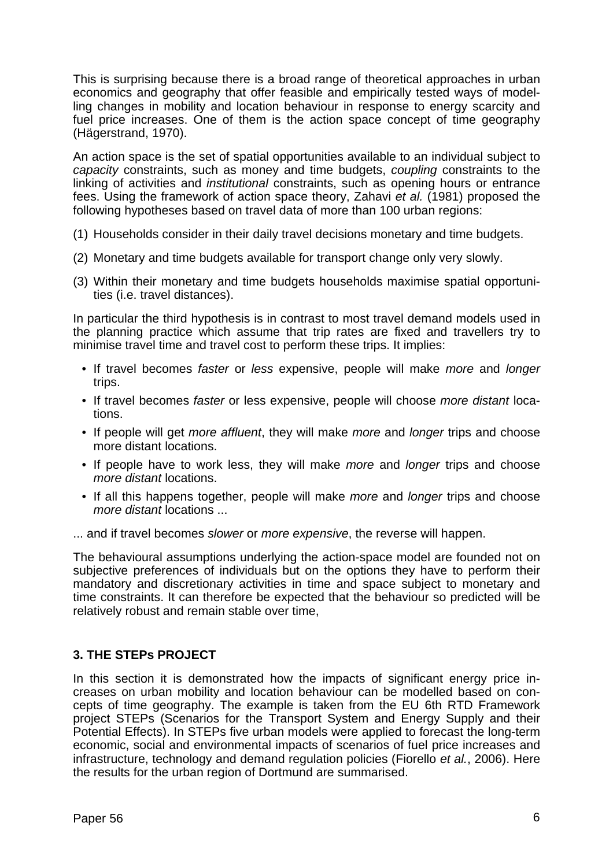This is surprising because there is a broad range of theoretical approaches in urban economics and geography that offer feasible and empirically tested ways of modelling changes in mobility and location behaviour in response to energy scarcity and fuel price increases. One of them is the action space concept of time geography (Hägerstrand, 1970).

An action space is the set of spatial opportunities available to an individual subject to *capacity* constraints, such as money and time budgets, *coupling* constraints to the linking of activities and *institutional* constraints, such as opening hours or entrance fees. Using the framework of action space theory, Zahavi *et al.* (1981) proposed the following hypotheses based on travel data of more than 100 urban regions:

- (1) Households consider in their daily travel decisions monetary and time budgets.
- (2) Monetary and time budgets available for transport change only very slowly.
- (3) Within their monetary and time budgets households maximise spatial opportunities (i.e. travel distances).

In particular the third hypothesis is in contrast to most travel demand models used in the planning practice which assume that trip rates are fixed and travellers try to minimise travel time and travel cost to perform these trips. It implies:

- If travel becomes *faster* or *less* expensive, people will make *more* and *longer* trips.
- If travel becomes *faster* or less expensive, people will choose *more distant* locations.
- If people will get *more affluent*, they will make *more* and *longer* trips and choose more distant locations.
- If people have to work less, they will make *more* and *longer* trips and choose *more distant* locations.
- If all this happens together, people will make *more* and *longer* trips and choose *more distant* locations ...
- ... and if travel becomes *slower* or *more expensive*, the reverse will happen.

The behavioural assumptions underlying the action-space model are founded not on subjective preferences of individuals but on the options they have to perform their mandatory and discretionary activities in time and space subject to monetary and time constraints. It can therefore be expected that the behaviour so predicted will be relatively robust and remain stable over time,

# **3. THE STEPs PROJECT**

In this section it is demonstrated how the impacts of significant energy price increases on urban mobility and location behaviour can be modelled based on concepts of time geography. The example is taken from the EU 6th RTD Framework project STEPs (Scenarios for the Transport System and Energy Supply and their Potential Effects). In STEPs five urban models were applied to forecast the long-term economic, social and environmental impacts of scenarios of fuel price increases and infrastructure, technology and demand regulation policies (Fiorello *et al.*, 2006). Here the results for the urban region of Dortmund are summarised.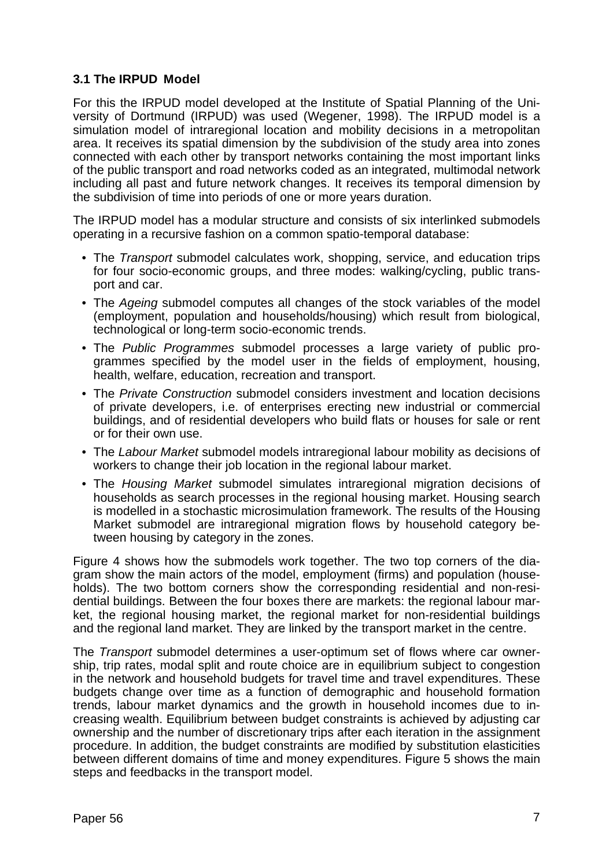# **3.1 The IRPUD Model**

For this the IRPUD model developed at the Institute of Spatial Planning of the University of Dortmund (IRPUD) was used (Wegener, 1998). The IRPUD model is a simulation model of intraregional location and mobility decisions in a metropolitan area. It receives its spatial dimension by the subdivision of the study area into zones connected with each other by transport networks containing the most important links of the public transport and road networks coded as an integrated, multimodal network including all past and future network changes. It receives its temporal dimension by the subdivision of time into periods of one or more years duration.

The IRPUD model has a modular structure and consists of six interlinked submodels operating in a recursive fashion on a common spatio-temporal database:

- The *Transport* submodel calculates work, shopping, service, and education trips for four socio-economic groups, and three modes: walking/cycling, public transport and car.
- The *Ageing* submodel computes all changes of the stock variables of the model (employment, population and households/housing) which result from biological, technological or long-term socio-economic trends.
- The *Public Programmes* submodel processes a large variety of public programmes specified by the model user in the fields of employment, housing, health, welfare, education, recreation and transport.
- The *Private Construction* submodel considers investment and location decisions of private developers, i.e. of enterprises erecting new industrial or commercial buildings, and of residential developers who build flats or houses for sale or rent or for their own use.
- The *Labour Market* submodel models intraregional labour mobility as decisions of workers to change their job location in the regional labour market.
- The *Housing Market* submodel simulates intraregional migration decisions of households as search processes in the regional housing market. Housing search is modelled in a stochastic microsimulation framework. The results of the Housing Market submodel are intraregional migration flows by household category between housing by category in the zones.

Figure 4 shows how the submodels work together. The two top corners of the diagram show the main actors of the model, employment (firms) and population (households). The two bottom corners show the corresponding residential and non-residential buildings. Between the four boxes there are markets: the regional labour market, the regional housing market, the regional market for non-residential buildings and the regional land market. They are linked by the transport market in the centre.

The *Transport* submodel determines a user-optimum set of flows where car ownership, trip rates, modal split and route choice are in equilibrium subject to congestion in the network and household budgets for travel time and travel expenditures. These budgets change over time as a function of demographic and household formation trends, labour market dynamics and the growth in household incomes due to increasing wealth. Equilibrium between budget constraints is achieved by adjusting car ownership and the number of discretionary trips after each iteration in the assignment procedure. In addition, the budget constraints are modified by substitution elasticities between different domains of time and money expenditures. Figure 5 shows the main steps and feedbacks in the transport model.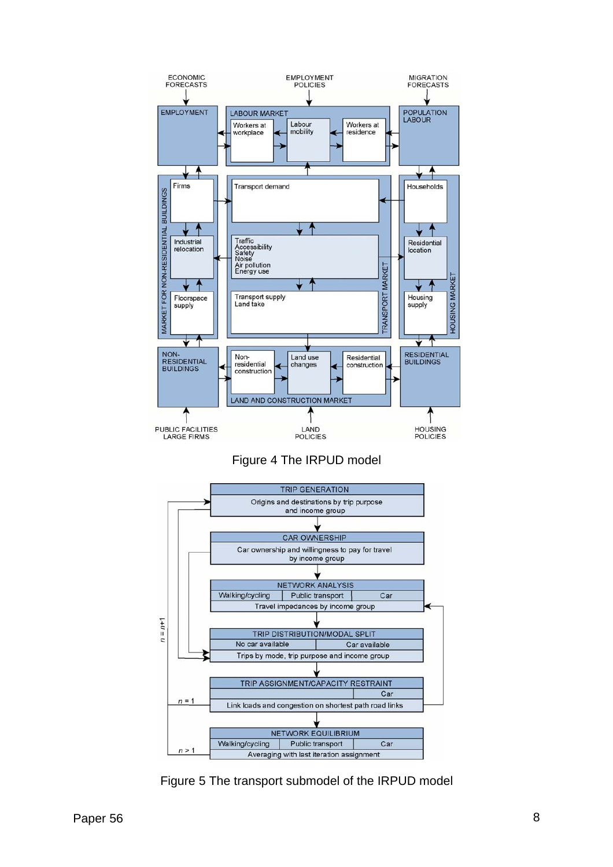

Figure 4 The IRPUD model



Figure 5 The transport submodel of the IRPUD model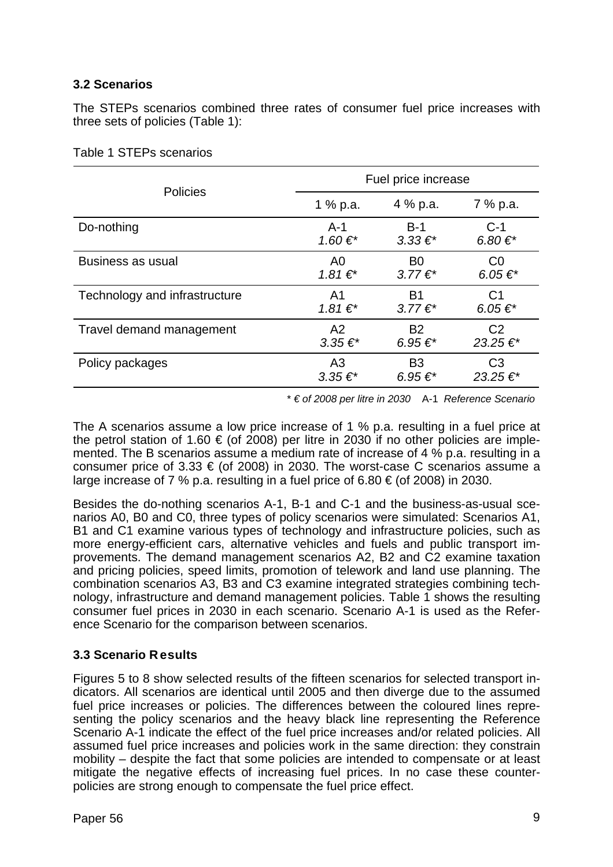# **3.2 Scenarios**

The STEPs scenarios combined three rates of consumer fuel price increases with three sets of policies (Table 1):

| <b>Policies</b>               | Fuel price increase |                      |                      |
|-------------------------------|---------------------|----------------------|----------------------|
|                               | 1 % p.a.            | 4 % p.a.             | 7 % p.a.             |
| Do-nothing                    | $A-1$               | $B-1$                | $C-1$                |
|                               | 1.60 €*             | $3.33 \, \epsilon^*$ | 6.80€*               |
| <b>Business as usual</b>      | A <sub>0</sub>      | B <sub>0</sub>       | CO                   |
|                               | $1.81€$ *           | $3.77 \in$ *         | 6.05 $\varepsilon^*$ |
| Technology and infrastructure | A <sub>1</sub>      | B1                   | C <sub>1</sub>       |
|                               | $1.81€*$            | $3.77 \in$ *         | 6.05 €*              |
| Travel demand management      | A2                  | <b>B2</b>            | C <sub>2</sub>       |
|                               | $3.35 \in$ *        | 6.95 €*              | 23.25€*              |
| Policy packages               | A <sub>3</sub>      | B <sub>3</sub>       | C <sub>3</sub>       |
|                               | $3.35 \in$ *        | 6.95 €*              | 23.25€*              |

|  |  | Table 1 STEPs scenarios |
|--|--|-------------------------|
|--|--|-------------------------|

\* *€ of 2008 per litre in 2030* A-1 *Reference Scenario*

The A scenarios assume a low price increase of 1 % p.a. resulting in a fuel price at the petrol station of 1.60  $\in$  (of 2008) per litre in 2030 if no other policies are implemented. The B scenarios assume a medium rate of increase of 4 % p.a. resulting in a consumer price of  $3.33 \in (of 2008)$  in 2030. The worst-case C scenarios assume a large increase of 7 % p.a. resulting in a fuel price of 6.80  $\epsilon$  (of 2008) in 2030.

Besides the do-nothing scenarios A-1, B-1 and C-1 and the business-as-usual scenarios A0, B0 and C0, three types of policy scenarios were simulated: Scenarios A1, B1 and C1 examine various types of technology and infrastructure policies, such as more energy-efficient cars, alternative vehicles and fuels and public transport improvements. The demand management scenarios A2, B2 and C2 examine taxation and pricing policies, speed limits, promotion of telework and land use planning. The combination scenarios A3, B3 and C3 examine integrated strategies combining technology, infrastructure and demand management policies. Table 1 shows the resulting consumer fuel prices in 2030 in each scenario. Scenario A-1 is used as the Reference Scenario for the comparison between scenarios.

# **3.3 Scenario Results**

Figures 5 to 8 show selected results of the fifteen scenarios for selected transport indicators. All scenarios are identical until 2005 and then diverge due to the assumed fuel price increases or policies. The differences between the coloured lines representing the policy scenarios and the heavy black line representing the Reference Scenario A-1 indicate the effect of the fuel price increases and/or related policies. All assumed fuel price increases and policies work in the same direction: they constrain mobility – despite the fact that some policies are intended to compensate or at least mitigate the negative effects of increasing fuel prices. In no case these counterpolicies are strong enough to compensate the fuel price effect.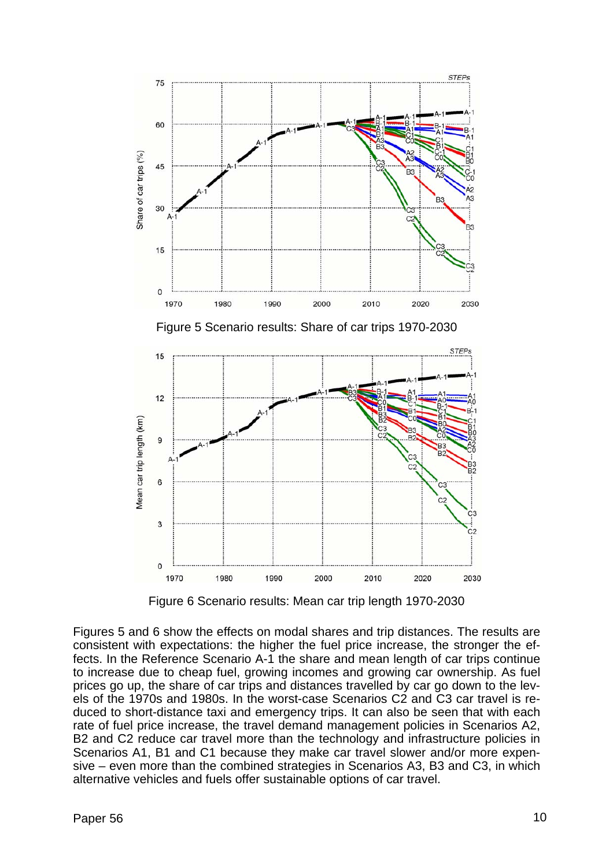

Figure 6 Scenario results: Mean car trip length 1970-2030

Figures 5 and 6 show the effects on modal shares and trip distances. The results are consistent with expectations: the higher the fuel price increase, the stronger the effects. In the Reference Scenario A-1 the share and mean length of car trips continue to increase due to cheap fuel, growing incomes and growing car ownership. As fuel prices go up, the share of car trips and distances travelled by car go down to the levels of the 1970s and 1980s. In the worst-case Scenarios C2 and C3 car travel is reduced to short-distance taxi and emergency trips. It can also be seen that with each rate of fuel price increase, the travel demand management policies in Scenarios A2, B<sub>2</sub> and C<sub>2</sub> reduce car travel more than the technology and infrastructure policies in Scenarios A1, B1 and C1 because they make car travel slower and/or more expensive – even more than the combined strategies in Scenarios A3, B3 and C3, in which alternative vehicles and fuels offer sustainable options of car travel.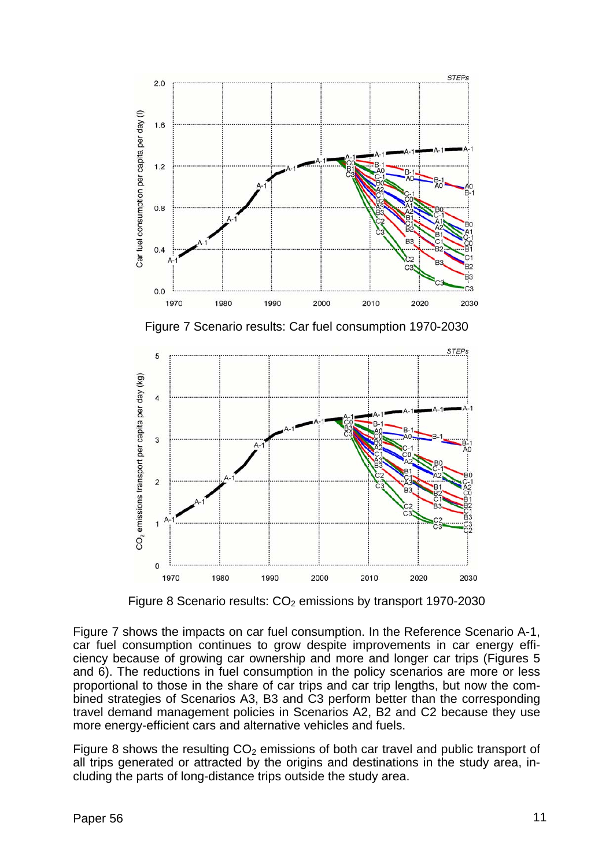

Figure 7 Scenario results: Car fuel consumption 1970-2030



Figure 8 Scenario results:  $CO<sub>2</sub>$  emissions by transport 1970-2030

Figure 7 shows the impacts on car fuel consumption. In the Reference Scenario A-1, car fuel consumption continues to grow despite improvements in car energy efficiency because of growing car ownership and more and longer car trips (Figures 5 and 6). The reductions in fuel consumption in the policy scenarios are more or less proportional to those in the share of car trips and car trip lengths, but now the combined strategies of Scenarios A3, B3 and C3 perform better than the corresponding travel demand management policies in Scenarios A2, B2 and C2 because they use more energy-efficient cars and alternative vehicles and fuels.

Figure 8 shows the resulting  $CO<sub>2</sub>$  emissions of both car travel and public transport of all trips generated or attracted by the origins and destinations in the study area, including the parts of long-distance trips outside the study area.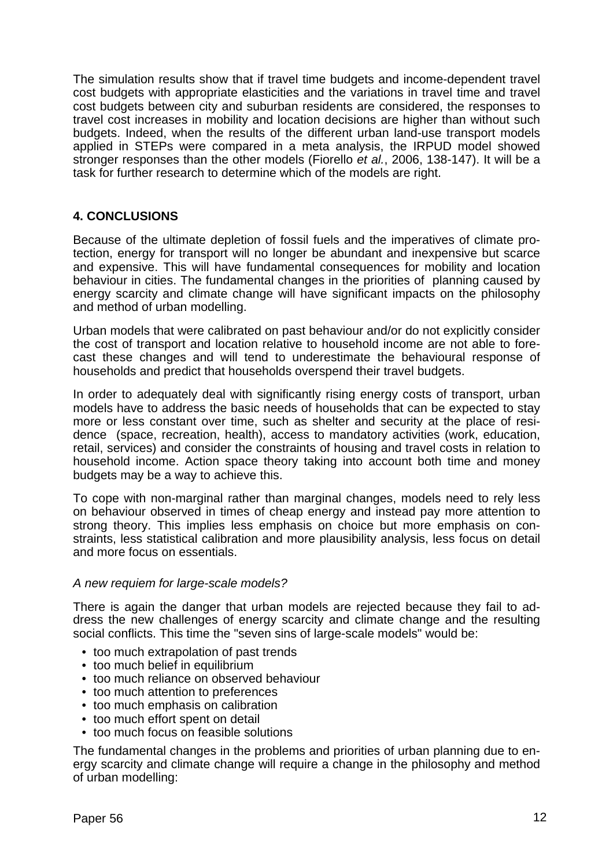The simulation results show that if travel time budgets and income-dependent travel cost budgets with appropriate elasticities and the variations in travel time and travel cost budgets between city and suburban residents are considered, the responses to travel cost increases in mobility and location decisions are higher than without such budgets. Indeed, when the results of the different urban land-use transport models applied in STEPs were compared in a meta analysis, the IRPUD model showed stronger responses than the other models (Fiorello *et al.*, 2006, 138-147). It will be a task for further research to determine which of the models are right.

# **4. CONCLUSIONS**

Because of the ultimate depletion of fossil fuels and the imperatives of climate protection, energy for transport will no longer be abundant and inexpensive but scarce and expensive. This will have fundamental consequences for mobility and location behaviour in cities. The fundamental changes in the priorities of planning caused by energy scarcity and climate change will have significant impacts on the philosophy and method of urban modelling.

Urban models that were calibrated on past behaviour and/or do not explicitly consider the cost of transport and location relative to household income are not able to forecast these changes and will tend to underestimate the behavioural response of households and predict that households overspend their travel budgets.

In order to adequately deal with significantly rising energy costs of transport, urban models have to address the basic needs of households that can be expected to stay more or less constant over time, such as shelter and security at the place of residence (space, recreation, health), access to mandatory activities (work, education, retail, services) and consider the constraints of housing and travel costs in relation to household income. Action space theory taking into account both time and money budgets may be a way to achieve this.

To cope with non-marginal rather than marginal changes, models need to rely less on behaviour observed in times of cheap energy and instead pay more attention to strong theory. This implies less emphasis on choice but more emphasis on constraints, less statistical calibration and more plausibility analysis, less focus on detail and more focus on essentials.

# *A new requiem for large-scale models?*

There is again the danger that urban models are rejected because they fail to address the new challenges of energy scarcity and climate change and the resulting social conflicts. This time the "seven sins of large-scale models" would be:

- too much extrapolation of past trends
- too much belief in equilibrium
- too much reliance on observed behaviour
- too much attention to preferences
- too much emphasis on calibration
- too much effort spent on detail
- too much focus on feasible solutions

The fundamental changes in the problems and priorities of urban planning due to energy scarcity and climate change will require a change in the philosophy and method of urban modelling: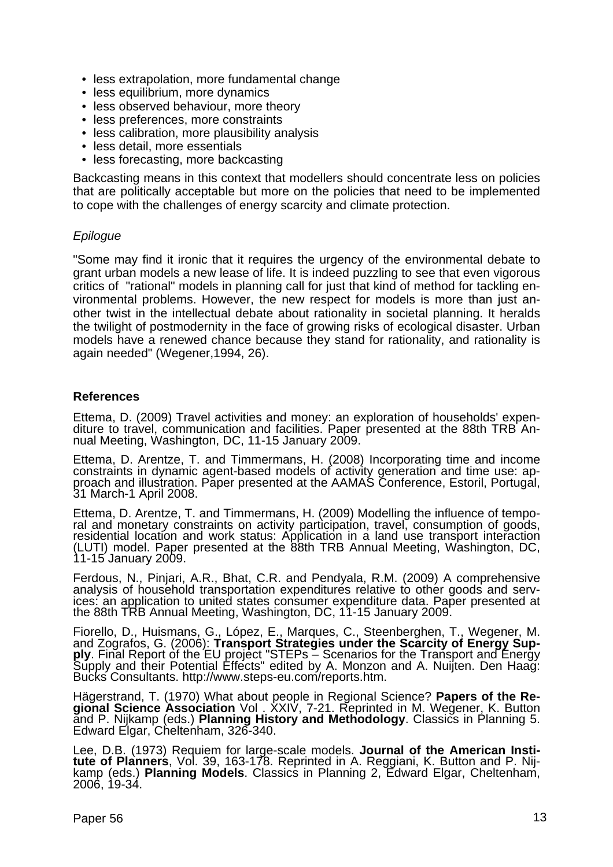- less extrapolation, more fundamental change
- less equilibrium, more dynamics
- less observed behaviour, more theory
- less preferences, more constraints
- less calibration, more plausibility analysis
- less detail, more essentials
- less forecasting, more backcasting

Backcasting means in this context that modellers should concentrate less on policies that are politically acceptable but more on the policies that need to be implemented to cope with the challenges of energy scarcity and climate protection.

#### *Epilogue*

"Some may find it ironic that it requires the urgency of the environmental debate to grant urban models a new lease of life. It is indeed puzzling to see that even vigorous critics of "rational" models in planning call for just that kind of method for tackling environmental problems. However, the new respect for models is more than just another twist in the intellectual debate about rationality in societal planning. It heralds the twilight of postmodernity in the face of growing risks of ecological disaster. Urban models have a renewed chance because they stand for rationality, and rationality is again needed" (Wegener,1994, 26).

#### **References**

Ettema, D. (2009) Travel activities and money: an exploration of households' expen- diture to travel, communication and facilities. Paper presented at the 88th TRB Annual Meeting, Washington, DC, 11-15 January 2009.

Ettema, D. Arentze, T. and Timmermans, H. (2008) Incorporating time and income constraints in dynamic agent-based models of activity generation and time use: approach and illustration. Paper presented at the AAMAS Conferen

Ettema, D. Arentze, T. and Timmermans, H. (2009) Modelling the influence of temporal and monetary constraints on activity participation, travel, consumption of goods, residential location and work status: Application in a

Ferdous, N., Pinjari, A.R., Bhat, C.R. and Pendyala, R.M. (2009) A comprehensive analysis of household transportation expenditures relative to other goods and services: an application to united states consumer expenditure

Fiorello, D., Huismans, G., López, E., Marques, C., Steenberghen, T., Wegener, M.<br>and Zografos, G. (2006): **Transport Strategies under the Scarcity of Energy Sup-**<br>**ply**. Final Report of the EU project "STEPs – Scenarios f

Hägerstrand, T. (1970) What about people in Regional Science? **Papers of the Regional Science Association** Vol. XXIV, 7-21. Reprinted in M. Wegener, K. Button and P. Nijkamp (eds.) **Planning History and Methodology**. Class

Lee, D.B. (1973) Requiem for large-scale models. **Journal of the American Institute of Planners**, Vol. 39, 163-178. Reprinted in A. Reggiani, K. Button and P. Nij**tute of Planners**, Vol. 39, 163-178. Reprinted in A. Reggiani, K. Button and P. Nij- kamp (eds.) **Planning Models**. Classics in Planning 2, Edward Elgar, Cheltenham, 2006, 19-34.